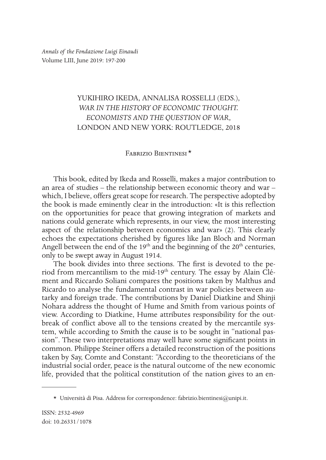*Annals of the Fondazione Luigi Einaudi* Volume LIII, June 2019: 197-200

## YUKIHIRO IKEDA, ANNALISA ROSSELLI (EDS.), *WAR IN THE HISTORY OF ECONOMIC THOUGHT. ECONOMISTS AND THE QUESTION OF WAR*, LONDON AND NEW YORK: ROUTLEDGE, 2018

## Fabrizio Bientinesi \*1

This book, edited by Ikeda and Rosselli, makes a major contribution to an area of studies – the relationship between economic theory and war – which, I believe, offers great scope for research. The perspective adopted by the book is made eminently clear in the introduction: «It is this reflection on the opportunities for peace that growing integration of markets and nations could generate which represents, in our view, the most interesting aspect of the relationship between economics and war» (2). This clearly echoes the expectations cherished by figures like Jan Bloch and Norman Angell between the end of the  $19<sup>th</sup>$  and the beginning of the  $20<sup>th</sup>$  centuries, only to be swept away in August 1914.

The book divides into three sections. The first is devoted to the period from mercantilism to the mid-19<sup>th</sup> century. The essay by Alain Clément and Riccardo Soliani compares the positions taken by Malthus and Ricardo to analyse the fundamental contrast in war policies between autarky and foreign trade. The contributions by Daniel Diatkine and Shinji Nohara address the thought of Hume and Smith from various points of view. According to Diatkine, Hume attributes responsibility for the outbreak of conflict above all to the tensions created by the mercantile system, while according to Smith the cause is to be sought in "national passion". These two interpretations may well have some significant points in common. Philippe Steiner offers a detailed reconstruction of the positions taken by Say, Comte and Constant: "According to the theoreticians of the industrial social order, peace is the natural outcome of the new economic life, provided that the political constitution of the nation gives to an en-

<sup>\*</sup> Università di Pisa. Address for correspondence: fabrizio.bientinesi@unipi.it.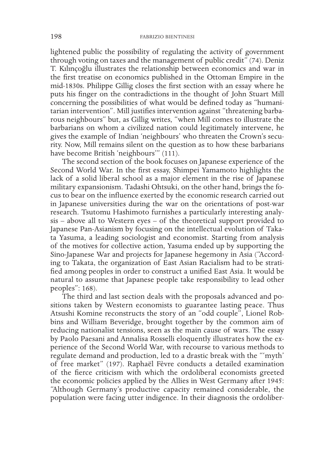lightened public the possibility of regulating the activity of government through voting on taxes and the management of public credit" (74). Deniz T. Kılınçoğlu illustrates the relationship between economics and war in the first treatise on economics published in the Ottoman Empire in the mid-1830s. Philippe Gillig closes the first section with an essay where he puts his finger on the contradictions in the thought of John Stuart Mill concerning the possibilities of what would be defined today as "humanitarian intervention". Mill justifies intervention against "threatening barbarous neighbours" but, as Gillig writes, "when Mill comes to illustrate the barbarians on whom a civilized nation could legitimately intervene, he gives the example of Indian 'neighbours' who threaten the Crown's security. Now, Mill remains silent on the question as to how these barbarians have become British 'neighbours'" (111).

The second section of the book focuses on Japanese experience of the Second World War. In the first essay, Shimpei Yamamoto highlights the lack of a solid liberal school as a major element in the rise of Japanese military expansionism. Tadashi Ohtsuki, on the other hand, brings the focus to bear on the influence exerted by the economic research carried out in Japanese universities during the war on the orientations of post-war research. Tsutomu Hashimoto furnishes a particularly interesting analysis – above all to Western eyes – of the theoretical support provided to Japanese Pan-Asianism by focusing on the intellectual evolution of Takata Yasuma, a leading sociologist and economist. Starting from analysis of the motives for collective action, Yasuma ended up by supporting the Sino-Japanese War and projects for Japanese hegemony in Asia ("According to Takata, the organization of East Asian Racialism had to be stratified among peoples in order to construct a unified East Asia. It would be natural to assume that Japanese people take responsibility to lead other peoples": 168).

The third and last section deals with the proposals advanced and positions taken by Western economists to guarantee lasting peace. Thus Atsushi Komine reconstructs the story of an "odd couple", Lionel Robbins and William Beveridge, brought together by the common aim of reducing nationalist tensions, seen as the main cause of wars. The essay by Paolo Paesani and Annalisa Rosselli eloquently illustrates how the experience of the Second World War, with recourse to various methods to regulate demand and production, led to a drastic break with the "'myth' of free market" (197). Raphaël Fèvre conducts a detailed examination of the fierce criticism with which the ordoliberal economists greeted the economic policies applied by the Allies in West Germany after 1945: "Although Germany's productive capacity remained considerable, the population were facing utter indigence. In their diagnosis the ordoliber